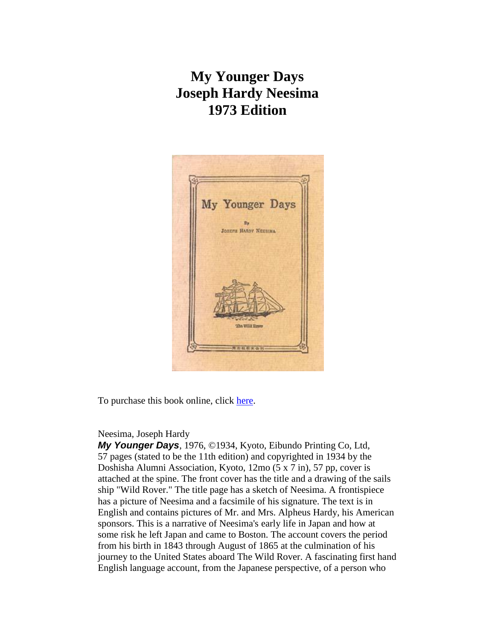## **My Younger Days Joseph Hardy Neesima 1973 Edition**



To purchase this book online, click [here.](http://www.baxleystamps.com/litho/0_book_pricelist.shtml#neesima_73011235)

## Neesima, Joseph Hardy

*My Younger Days*, 1976, ©1934, Kyoto, Eibundo Printing Co, Ltd, 57 pages (stated to be the 11th edition) and copyrighted in 1934 by the Doshisha Alumni Association, Kyoto, 12mo (5 x 7 in), 57 pp, cover is attached at the spine. The front cover has the title and a drawing of the sails ship "Wild Rover." The title page has a sketch of Neesima. A frontispiece has a picture of Neesima and a facsimile of his signature. The text is in English and contains pictures of Mr. and Mrs. Alpheus Hardy, his American sponsors. This is a narrative of Neesima's early life in Japan and how at some risk he left Japan and came to Boston. The account covers the period from his birth in 1843 through August of 1865 at the culmination of his journey to the United States aboard The Wild Rover. A fascinating first hand English language account, from the Japanese perspective, of a person who